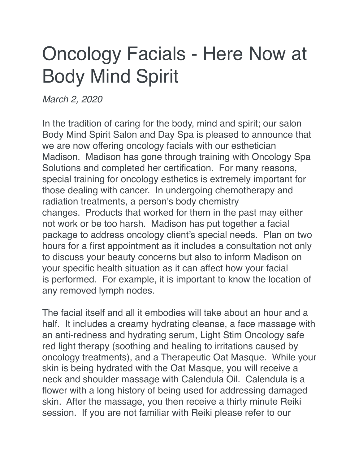## Oncology Facials - Here Now at Body Mind Spirit

*March 2, 2020*

In the tradition of caring for the body, mind and spirit; our salon Body Mind Spirit Salon and Day Spa is pleased to announce that we are now offering oncology facials with our esthetician Madison. Madison has gone through training with Oncology Spa Solutions and completed her certification. For many reasons, special training for oncology esthetics is extremely important for those dealing with cancer. In undergoing chemotherapy and radiation treatments, a person's body chemistry changes. Products that worked for them in the past may either not work or be too harsh. Madison has put together a facial package to address oncology client's special needs. Plan on two hours for a first appointment as it includes a consultation not only to discuss your beauty concerns but also to inform Madison on your specific health situation as it can affect how your facial is performed. For example, it is important to know the location of any removed lymph nodes.

The facial itself and all it embodies will take about an hour and a half. It includes a creamy hydrating cleanse, a face massage with an anti-redness and hydrating serum, Light Stim Oncology safe red light therapy (soothing and healing to irritations caused by oncology treatments), and a Therapeutic Oat Masque. While your skin is being hydrated with the Oat Masque, you will receive a neck and shoulder massage with Calendula Oil. Calendula is a flower with a long history of being used for addressing damaged skin. After the massage, you then receive a thirty minute Reiki session. If you are not familiar with Reiki please refer to our